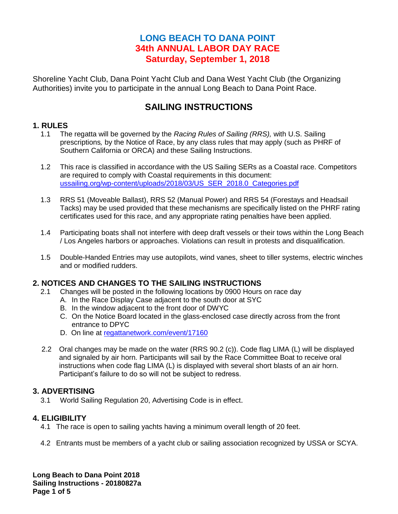# **LONG BEACH TO DANA POINT 34th ANNUAL LABOR DAY RACE Saturday, September 1, 2018**

Shoreline Yacht Club, Dana Point Yacht Club and Dana West Yacht Club (the Organizing Authorities) invite you to participate in the annual Long Beach to Dana Point Race.

# **SAILING INSTRUCTIONS**

## **1. RULES**

- 1.1 The regatta will be governed by the *Racing Rules of Sailing (RRS),* with U.S. Sailing prescriptions*,* by the Notice of Race, by any class rules that may apply (such as PHRF of Southern California or ORCA) and these Sailing Instructions.
- 1.2 This race is classified in accordance with the US Sailing SERs as a Coastal race. Competitors are required to comply with Coastal requirements in this document: [ussailing.org/wp-content/uploads/2018/03/US\\_SER\\_2018.0\\_Categories.pdf](https://www.ussailing.org/wp-content/uploads/2018/03/US_SER_2018.0_Categories.pdf)
- 1.3 RRS 51 (Moveable Ballast), RRS 52 (Manual Power) and RRS 54 (Forestays and Headsail Tacks) may be used provided that these mechanisms are specifically listed on the PHRF rating certificates used for this race, and any appropriate rating penalties have been applied.
- 1.4 Participating boats shall not interfere with deep draft vessels or their tows within the Long Beach / Los Angeles harbors or approaches. Violations can result in protests and disqualification.
- 1.5 Double-Handed Entries may use autopilots, wind vanes, sheet to tiller systems, electric winches and or modified rudders.

# **2. NOTICES AND CHANGES TO THE SAILING INSTRUCTIONS**

- 2.1 Changes will be posted in the following locations by 0900 Hours on race day
	- A. In the Race Display Case adjacent to the south door at SYC
	- B. In the window adjacent to the front door of DWYC
	- C. On the Notice Board located in the glass-enclosed case directly across from the front entrance to DPYC
	- D. On line at [regattanetwork.com/event/17160](http://www.regattanetwork.com/event/17160)
- 2.2 Oral changes may be made on the water (RRS 90.2 (c)). Code flag LIMA (L) will be displayed and signaled by air horn. Participants will sail by the Race Committee Boat to receive oral instructions when code flag LIMA (L) is displayed with several short blasts of an air horn. Participant's failure to do so will not be subject to redress.

## **3. ADVERTISING**

3.1 World Sailing Regulation 20, Advertising Code is in effect.

### **4. ELIGIBILITY**

- 4.1 The race is open to sailing yachts having a minimum overall length of 20 feet.
- 4.2 Entrants must be members of a yacht club or sailing association recognized by USSA or SCYA.

**Long Beach to Dana Point 2018 Sailing Instructions - 20180827a Page 1 of 5**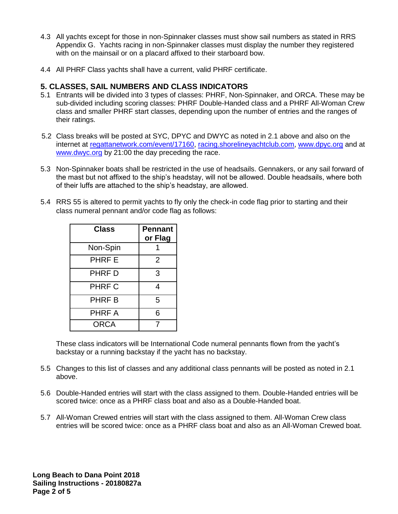- 4.3 All yachts except for those in non-Spinnaker classes must show sail numbers as stated in RRS Appendix G. Yachts racing in non-Spinnaker classes must display the number they registered with on the mainsail or on a placard affixed to their starboard bow.
- 4.4 All PHRF Class yachts shall have a current, valid PHRF certificate.

### **5. CLASSES, SAIL NUMBERS AND CLASS INDICATORS**

- 5.1 Entrants will be divided into 3 types of classes: PHRF, Non-Spinnaker, and ORCA. These may be sub-divided including scoring classes: PHRF Double-Handed class and a PHRF All-Woman Crew class and smaller PHRF start classes, depending upon the number of entries and the ranges of their ratings.
- 5.2 Class breaks will be posted at SYC, DPYC and DWYC as noted in 2.1 above and also on the internet at [regattanetwork.com/event/17160,](http://www.regattanetwork.com/event/17160) [racing.shorelineyachtclub.com,](http://racing.shorelineyachtclub.com/) [www.dpyc.org](http://www.dpyc.org/) and at [www.dwyc.org](http://www.dwyc.org/) by 21:00 the day preceding the race.
- 5.3 Non-Spinnaker boats shall be restricted in the use of headsails. Gennakers, or any sail forward of the mast but not affixed to the ship's headstay, will not be allowed. Double headsails, where both of their luffs are attached to the ship's headstay, are allowed.
- 5.4 RRS 55 is altered to permit yachts to fly only the check-in code flag prior to starting and their class numeral pennant and/or code flag as follows:

| <b>Class</b>  | <b>Pennant</b><br>or Flag |
|---------------|---------------------------|
| Non-Spin      |                           |
| <b>PHRF E</b> | $\overline{2}$            |
| PHRF D        | 3                         |
| PHRF C        | 4                         |
| <b>PHRF B</b> | 5                         |
| PHRF A        | 6                         |
| <b>ORCA</b>   |                           |

These class indicators will be International Code numeral pennants flown from the yacht's backstay or a running backstay if the yacht has no backstay.

- 5.5 Changes to this list of classes and any additional class pennants will be posted as noted in 2.1 above.
- 5.6 Double-Handed entries will start with the class assigned to them. Double-Handed entries will be scored twice: once as a PHRF class boat and also as a Double-Handed boat.
- 5.7 All-Woman Crewed entries will start with the class assigned to them. All-Woman Crew class entries will be scored twice: once as a PHRF class boat and also as an All-Woman Crewed boat.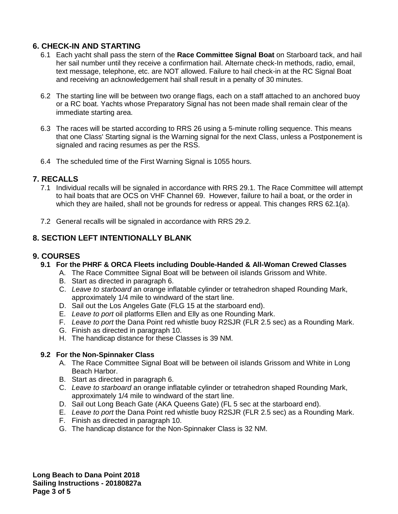## **6. CHECK-IN AND STARTING**

- 6.1 Each yacht shall pass the stern of the **Race Committee Signal Boat** on Starboard tack, and hail her sail number until they receive a confirmation hail. Alternate check-In methods, radio, email, text message, telephone, etc. are NOT allowed. Failure to hail check-in at the RC Signal Boat and receiving an acknowledgement hail shall result in a penalty of 30 minutes.
- 6.2 The starting line will be between two orange flags, each on a staff attached to an anchored buoy or a RC boat. Yachts whose Preparatory Signal has not been made shall remain clear of the immediate starting area.
- 6.3 The races will be started according to RRS 26 using a 5-minute rolling sequence. This means that one Class' Starting signal is the Warning signal for the next Class, unless a Postponement is signaled and racing resumes as per the RSS.
- 6.4 The scheduled time of the First Warning Signal is 1055 hours.

### **7. RECALLS**

- 7.1 Individual recalls will be signaled in accordance with RRS 29.1. The Race Committee will attempt to hail boats that are OCS on VHF Channel 69. However, failure to hail a boat, or the order in which they are hailed, shall not be grounds for redress or appeal. This changes RRS 62.1(a).
- 7.2 General recalls will be signaled in accordance with RRS 29.2.

## **8. SECTION LEFT INTENTIONALLY BLANK**

#### **9. COURSES**

- **9.1 For the PHRF & ORCA Fleets including Double-Handed & All-Woman Crewed Classes**
	- A. The Race Committee Signal Boat will be between oil islands Grissom and White.
	- B. Start as directed in paragraph 6.
	- C. *Leave to starboard* an orange inflatable cylinder or tetrahedron shaped Rounding Mark, approximately 1/4 mile to windward of the start line.
	- D. Sail out the Los Angeles Gate (FLG 15 at the starboard end).
	- E. *Leave to port* oil platforms Ellen and Elly as one Rounding Mark.
	- F. *Leave to port* the Dana Point red whistle buoy R2SJR (FLR 2.5 sec) as a Rounding Mark.
	- G. Finish as directed in paragraph 10.
	- H. The handicap distance for these Classes is 39 NM.

#### **9.2 For the Non-Spinnaker Class**

- A. The Race Committee Signal Boat will be between oil islands Grissom and White in Long Beach Harbor.
- B. Start as directed in paragraph 6.
- C. *Leave to starboard* an orange inflatable cylinder or tetrahedron shaped Rounding Mark, approximately 1/4 mile to windward of the start line.
- D. Sail out Long Beach Gate (AKA Queens Gate) (FL 5 sec at the starboard end).
- E. *Leave to port* the Dana Point red whistle buoy R2SJR (FLR 2.5 sec) as a Rounding Mark.
- F. Finish as directed in paragraph 10.
- G. The handicap distance for the Non-Spinnaker Class is 32 NM.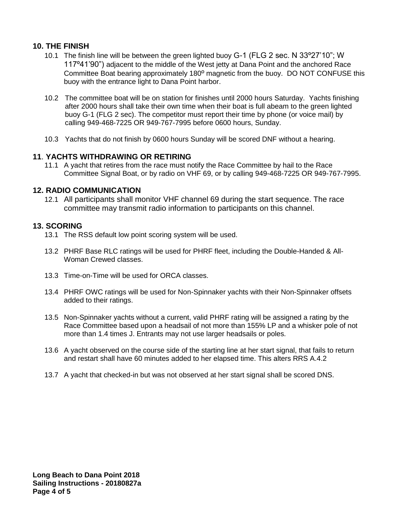## **10. THE FINISH**

- 10.1 The finish line will be between the green lighted buoy G-1 (FLG 2 sec. N 33º27'10"; W 117º41'90") adjacent to the middle of the West jetty at Dana Point and the anchored Race Committee Boat bearing approximately 180º magnetic from the buoy. DO NOT CONFUSE this buoy with the entrance light to Dana Point harbor.
- 10.2 The committee boat will be on station for finishes until 2000 hours Saturday. Yachts finishing after 2000 hours shall take their own time when their boat is full abeam to the green lighted buoy G-1 (FLG 2 sec). The competitor must report their time by phone (or voice mail) by calling 949-468-7225 OR 949-767-7995 before 0600 hours, Sunday.
- 10.3 Yachts that do not finish by 0600 hours Sunday will be scored DNF without a hearing.

### **11**. **YACHTS WITHDRAWING OR RETIRING**

11.1 A yacht that retires from the race must notify the Race Committee by hail to the Race Committee Signal Boat, or by radio on VHF 69, or by calling 949-468-7225 OR 949-767-7995.

#### **12. RADIO COMMUNICATION**

12.1 All participants shall monitor VHF channel 69 during the start sequence. The race committee may transmit radio information to participants on this channel.

#### **13. SCORING**

- 13.1 The RSS default low point scoring system will be used.
- 13.2 PHRF Base RLC ratings will be used for PHRF fleet, including the Double-Handed & All-Woman Crewed classes.
- 13.3 Time-on-Time will be used for ORCA classes.
- 13.4 PHRF OWC ratings will be used for Non-Spinnaker yachts with their Non-Spinnaker offsets added to their ratings.
- 13.5 Non-Spinnaker yachts without a current, valid PHRF rating will be assigned a rating by the Race Committee based upon a headsail of not more than 155% LP and a whisker pole of not more than 1.4 times J. Entrants may not use larger headsails or poles.
- 13.6 A yacht observed on the course side of the starting line at her start signal, that fails to return and restart shall have 60 minutes added to her elapsed time. This alters RRS A.4.2
- 13.7 A yacht that checked-in but was not observed at her start signal shall be scored DNS.